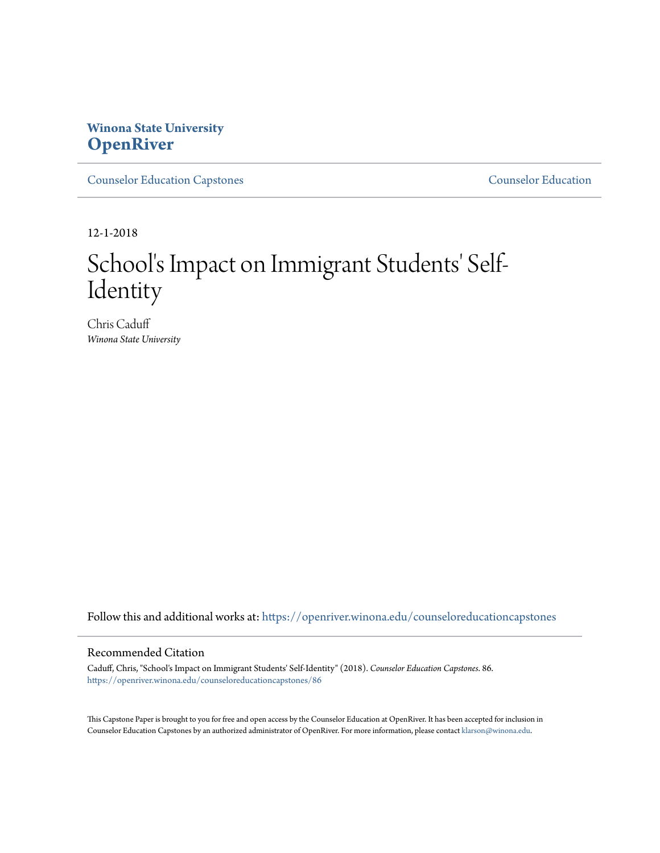## **Winona State University [OpenRiver](https://openriver.winona.edu?utm_source=openriver.winona.edu%2Fcounseloreducationcapstones%2F86&utm_medium=PDF&utm_campaign=PDFCoverPages)**

[Counselor Education Capstones](https://openriver.winona.edu/counseloreducationcapstones?utm_source=openriver.winona.edu%2Fcounseloreducationcapstones%2F86&utm_medium=PDF&utm_campaign=PDFCoverPages) [Counselor Education](https://openriver.winona.edu/counseloreducation?utm_source=openriver.winona.edu%2Fcounseloreducationcapstones%2F86&utm_medium=PDF&utm_campaign=PDFCoverPages)

12-1-2018

# School's Impact on Immigrant Students' Self-Identity

Chris Caduff *Winona State University*

Follow this and additional works at: [https://openriver.winona.edu/counseloreducationcapstones](https://openriver.winona.edu/counseloreducationcapstones?utm_source=openriver.winona.edu%2Fcounseloreducationcapstones%2F86&utm_medium=PDF&utm_campaign=PDFCoverPages)

#### Recommended Citation

Caduff, Chris, "School's Impact on Immigrant Students' Self-Identity" (2018). *Counselor Education Capstones*. 86. [https://openriver.winona.edu/counseloreducationcapstones/86](https://openriver.winona.edu/counseloreducationcapstones/86?utm_source=openriver.winona.edu%2Fcounseloreducationcapstones%2F86&utm_medium=PDF&utm_campaign=PDFCoverPages)

This Capstone Paper is brought to you for free and open access by the Counselor Education at OpenRiver. It has been accepted for inclusion in Counselor Education Capstones by an authorized administrator of OpenRiver. For more information, please contact [klarson@winona.edu](mailto:klarson@winona.edu).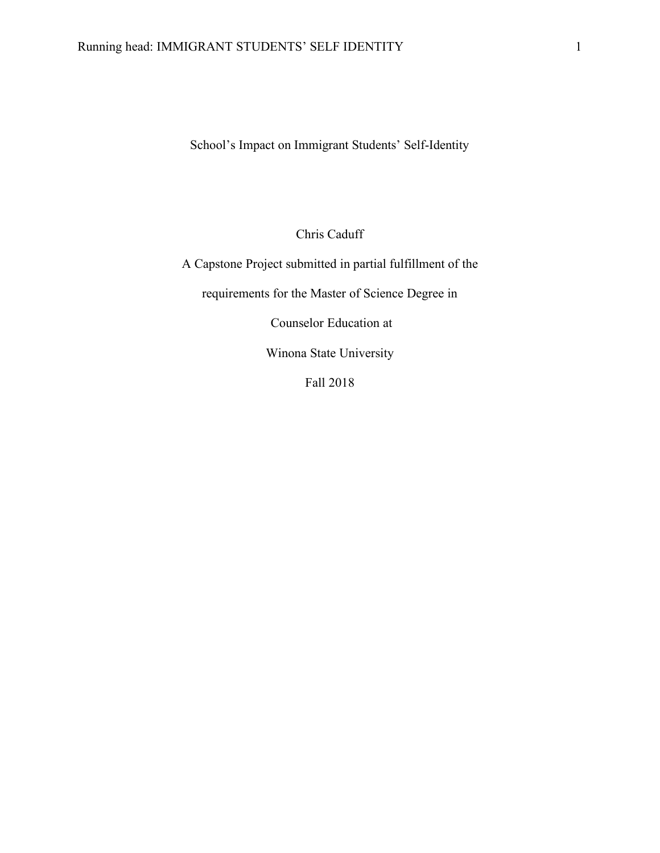School's Impact on Immigrant Students' Self-Identity

Chris Caduff

A Capstone Project submitted in partial fulfillment of the requirements for the Master of Science Degree in Counselor Education at Winona State University

Fall 2018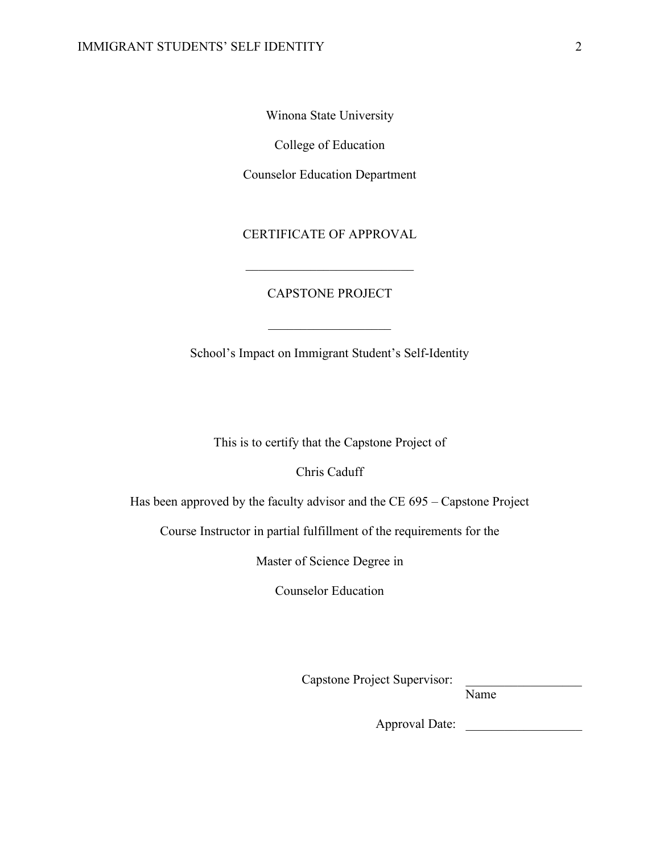Winona State University

College of Education

Counselor Education Department

CERTIFICATE OF APPROVAL

 $\mathcal{L}_\text{max}$ 

#### CAPSTONE PROJECT

 $\overline{\phantom{a}}$  , where  $\overline{\phantom{a}}$ 

School's Impact on Immigrant Student's Self-Identity

This is to certify that the Capstone Project of

Chris Caduff

Has been approved by the faculty advisor and the CE 695 – Capstone Project

Course Instructor in partial fulfillment of the requirements for the

Master of Science Degree in

Counselor Education

Capstone Project Supervisor:

Name

Approval Date: \_\_\_\_\_\_\_\_\_\_\_\_\_\_\_\_\_\_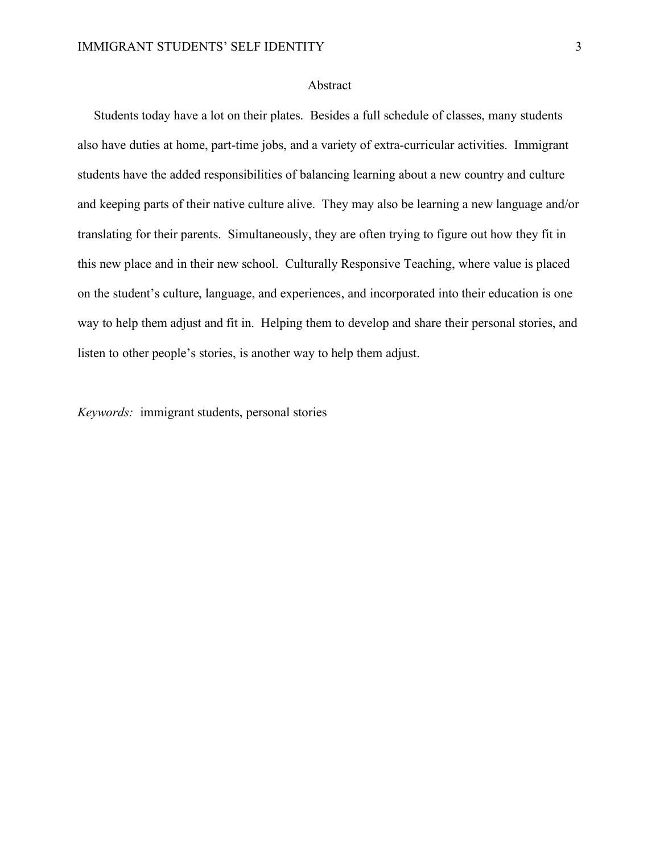#### Abstract

 Students today have a lot on their plates. Besides a full schedule of classes, many students also have duties at home, part-time jobs, and a variety of extra-curricular activities. Immigrant students have the added responsibilities of balancing learning about a new country and culture and keeping parts of their native culture alive. They may also be learning a new language and/or translating for their parents. Simultaneously, they are often trying to figure out how they fit in this new place and in their new school. Culturally Responsive Teaching, where value is placed on the student's culture, language, and experiences, and incorporated into their education is one way to help them adjust and fit in. Helping them to develop and share their personal stories, and listen to other people's stories, is another way to help them adjust.

*Keywords:* immigrant students, personal stories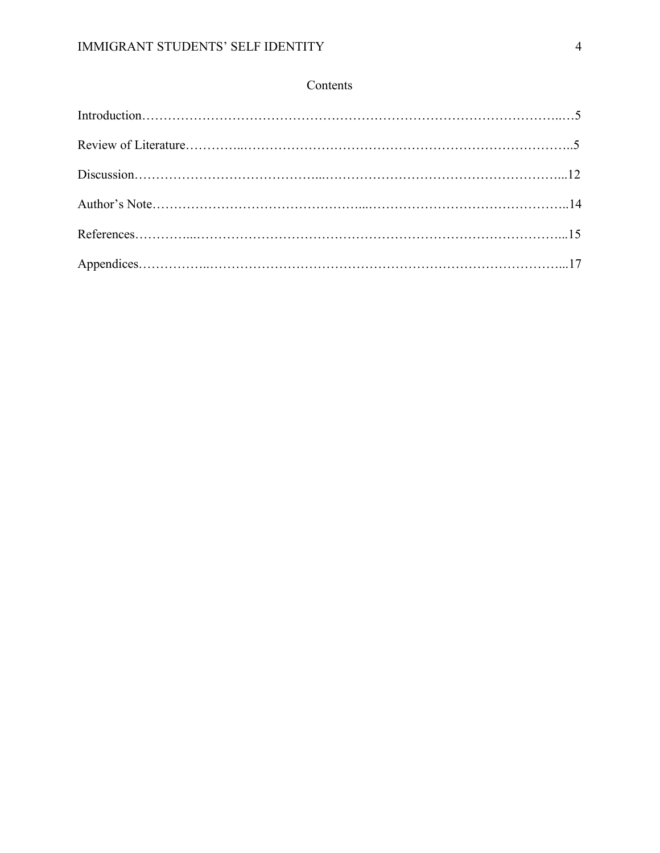### Contents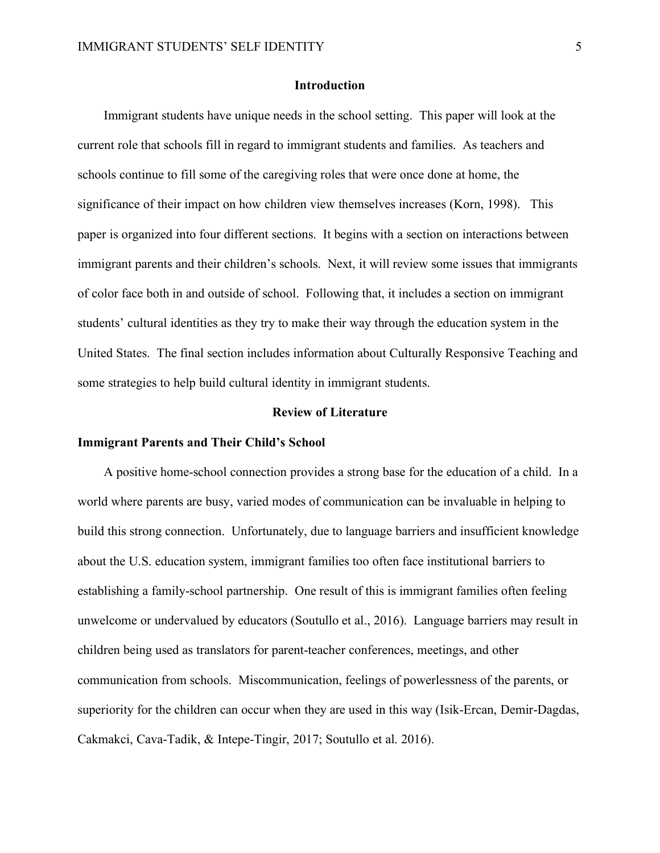#### **Introduction**

 Immigrant students have unique needs in the school setting. This paper will look at the current role that schools fill in regard to immigrant students and families. As teachers and schools continue to fill some of the caregiving roles that were once done at home, the significance of their impact on how children view themselves increases (Korn, 1998). This paper is organized into four different sections. It begins with a section on interactions between immigrant parents and their children's schools. Next, it will review some issues that immigrants of color face both in and outside of school. Following that, it includes a section on immigrant students' cultural identities as they try to make their way through the education system in the United States. The final section includes information about Culturally Responsive Teaching and some strategies to help build cultural identity in immigrant students.

#### **Review of Literature**

#### **Immigrant Parents and Their Child's School**

 A positive home-school connection provides a strong base for the education of a child. In a world where parents are busy, varied modes of communication can be invaluable in helping to build this strong connection. Unfortunately, due to language barriers and insufficient knowledge about the U.S. education system, immigrant families too often face institutional barriers to establishing a family-school partnership. One result of this is immigrant families often feeling unwelcome or undervalued by educators (Soutullo et al., 2016). Language barriers may result in children being used as translators for parent-teacher conferences, meetings, and other communication from schools. Miscommunication, feelings of powerlessness of the parents, or superiority for the children can occur when they are used in this way (Isik-Ercan, Demir-Dagdas, Cakmakci, Cava-Tadik, & Intepe-Tingir, 2017; Soutullo et al. 2016).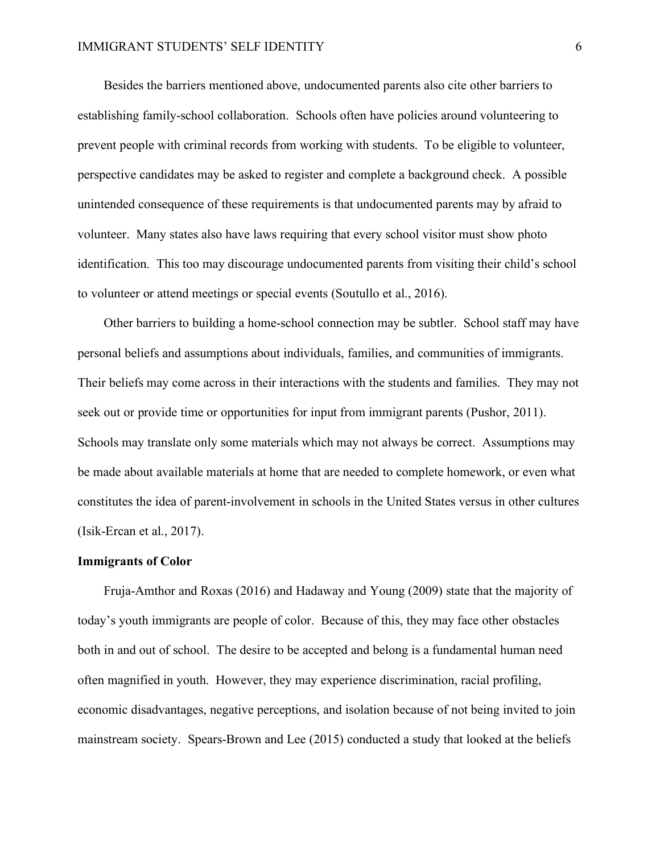Besides the barriers mentioned above, undocumented parents also cite other barriers to establishing family-school collaboration. Schools often have policies around volunteering to prevent people with criminal records from working with students. To be eligible to volunteer, perspective candidates may be asked to register and complete a background check. A possible unintended consequence of these requirements is that undocumented parents may by afraid to volunteer. Many states also have laws requiring that every school visitor must show photo identification. This too may discourage undocumented parents from visiting their child's school to volunteer or attend meetings or special events (Soutullo et al., 2016).

 Other barriers to building a home-school connection may be subtler. School staff may have personal beliefs and assumptions about individuals, families, and communities of immigrants. Their beliefs may come across in their interactions with the students and families. They may not seek out or provide time or opportunities for input from immigrant parents (Pushor, 2011). Schools may translate only some materials which may not always be correct. Assumptions may be made about available materials at home that are needed to complete homework, or even what constitutes the idea of parent-involvement in schools in the United States versus in other cultures (Isik-Ercan et al., 2017).

#### **Immigrants of Color**

 Fruja-Amthor and Roxas (2016) and Hadaway and Young (2009) state that the majority of today's youth immigrants are people of color. Because of this, they may face other obstacles both in and out of school. The desire to be accepted and belong is a fundamental human need often magnified in youth. However, they may experience discrimination, racial profiling, economic disadvantages, negative perceptions, and isolation because of not being invited to join mainstream society. Spears-Brown and Lee (2015) conducted a study that looked at the beliefs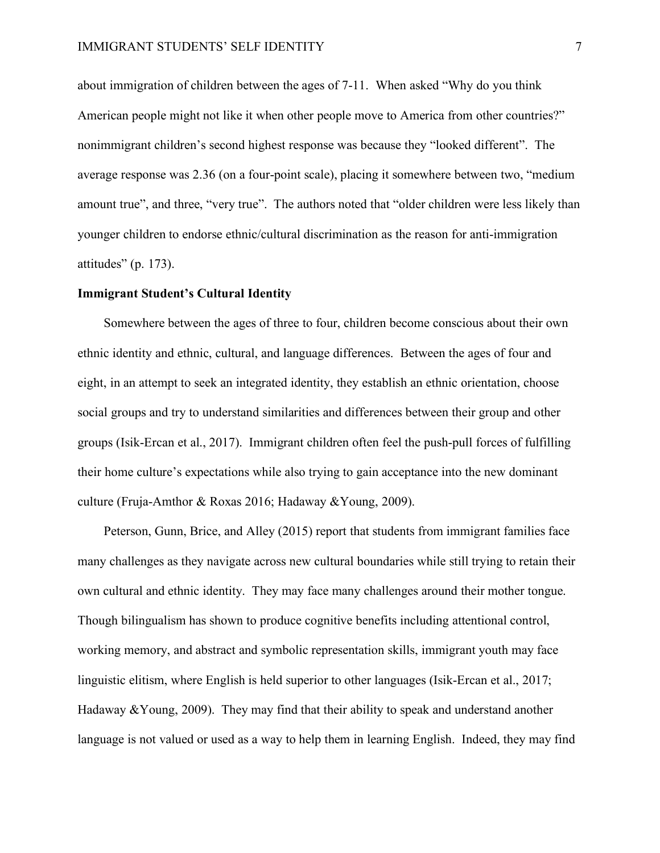about immigration of children between the ages of 7-11. When asked "Why do you think American people might not like it when other people move to America from other countries?" nonimmigrant children's second highest response was because they "looked different". The average response was 2.36 (on a four-point scale), placing it somewhere between two, "medium amount true", and three, "very true". The authors noted that "older children were less likely than younger children to endorse ethnic/cultural discrimination as the reason for anti-immigration attitudes" (p. 173).

#### **Immigrant Student's Cultural Identity**

Somewhere between the ages of three to four, children become conscious about their own ethnic identity and ethnic, cultural, and language differences. Between the ages of four and eight, in an attempt to seek an integrated identity, they establish an ethnic orientation, choose social groups and try to understand similarities and differences between their group and other groups (Isik-Ercan et al., 2017). Immigrant children often feel the push-pull forces of fulfilling their home culture's expectations while also trying to gain acceptance into the new dominant culture (Fruja-Amthor & Roxas 2016; Hadaway &Young, 2009).

 Peterson, Gunn, Brice, and Alley (2015) report that students from immigrant families face many challenges as they navigate across new cultural boundaries while still trying to retain their own cultural and ethnic identity. They may face many challenges around their mother tongue. Though bilingualism has shown to produce cognitive benefits including attentional control, working memory, and abstract and symbolic representation skills, immigrant youth may face linguistic elitism, where English is held superior to other languages (Isik-Ercan et al., 2017; Hadaway  $\&$ Young, 2009). They may find that their ability to speak and understand another language is not valued or used as a way to help them in learning English. Indeed, they may find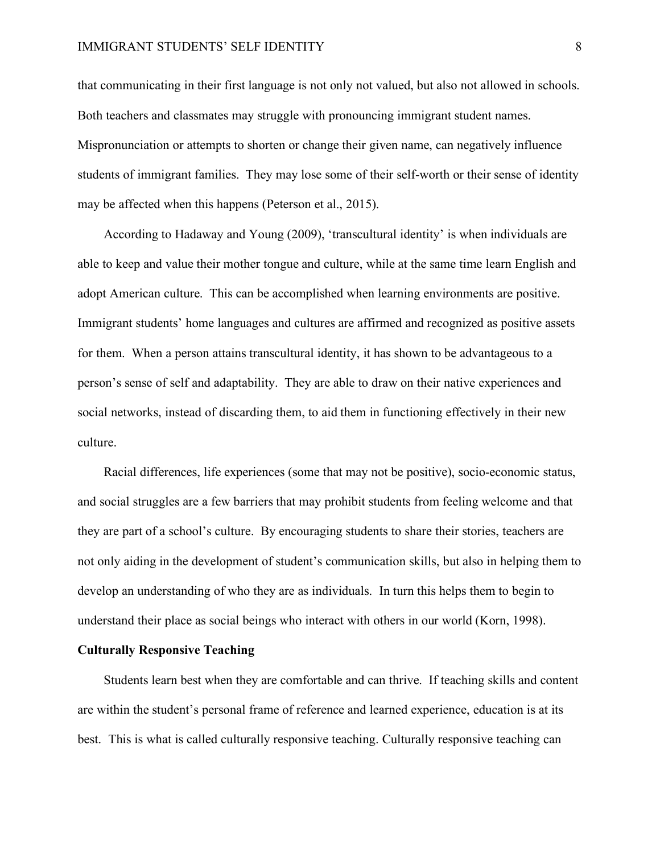#### IMMIGRANT STUDENTS' SELF IDENTITY 8

that communicating in their first language is not only not valued, but also not allowed in schools. Both teachers and classmates may struggle with pronouncing immigrant student names. Mispronunciation or attempts to shorten or change their given name, can negatively influence students of immigrant families. They may lose some of their self-worth or their sense of identity may be affected when this happens (Peterson et al., 2015).

 According to Hadaway and Young (2009), 'transcultural identity' is when individuals are able to keep and value their mother tongue and culture, while at the same time learn English and adopt American culture. This can be accomplished when learning environments are positive. Immigrant students' home languages and cultures are affirmed and recognized as positive assets for them. When a person attains transcultural identity, it has shown to be advantageous to a person's sense of self and adaptability. They are able to draw on their native experiences and social networks, instead of discarding them, to aid them in functioning effectively in their new culture.

 Racial differences, life experiences (some that may not be positive), socio-economic status, and social struggles are a few barriers that may prohibit students from feeling welcome and that they are part of a school's culture. By encouraging students to share their stories, teachers are not only aiding in the development of student's communication skills, but also in helping them to develop an understanding of who they are as individuals. In turn this helps them to begin to understand their place as social beings who interact with others in our world (Korn, 1998).

#### **Culturally Responsive Teaching**

 Students learn best when they are comfortable and can thrive. If teaching skills and content are within the student's personal frame of reference and learned experience, education is at its best. This is what is called culturally responsive teaching. Culturally responsive teaching can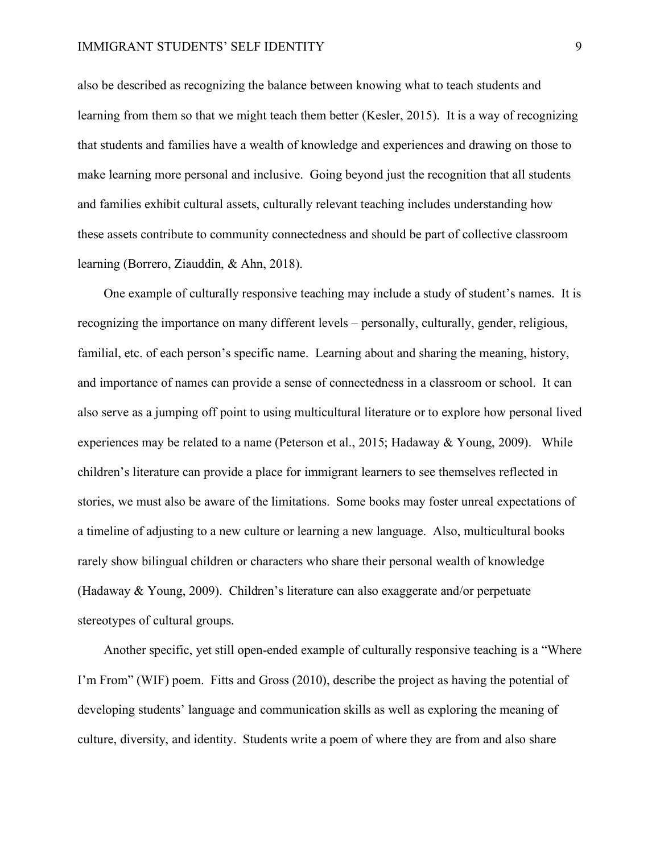#### IMMIGRANT STUDENTS' SELF IDENTITY 9

also be described as recognizing the balance between knowing what to teach students and learning from them so that we might teach them better (Kesler, 2015). It is a way of recognizing that students and families have a wealth of knowledge and experiences and drawing on those to make learning more personal and inclusive. Going beyond just the recognition that all students and families exhibit cultural assets, culturally relevant teaching includes understanding how these assets contribute to community connectedness and should be part of collective classroom learning (Borrero, Ziauddin, & Ahn, 2018).

 One example of culturally responsive teaching may include a study of student's names. It is recognizing the importance on many different levels – personally, culturally, gender, religious, familial, etc. of each person's specific name. Learning about and sharing the meaning, history, and importance of names can provide a sense of connectedness in a classroom or school. It can also serve as a jumping off point to using multicultural literature or to explore how personal lived experiences may be related to a name (Peterson et al., 2015; Hadaway & Young, 2009). While children's literature can provide a place for immigrant learners to see themselves reflected in stories, we must also be aware of the limitations. Some books may foster unreal expectations of a timeline of adjusting to a new culture or learning a new language. Also, multicultural books rarely show bilingual children or characters who share their personal wealth of knowledge (Hadaway & Young, 2009). Children's literature can also exaggerate and/or perpetuate stereotypes of cultural groups.

 Another specific, yet still open-ended example of culturally responsive teaching is a "Where I'm From" (WIF) poem. Fitts and Gross (2010), describe the project as having the potential of developing students' language and communication skills as well as exploring the meaning of culture, diversity, and identity. Students write a poem of where they are from and also share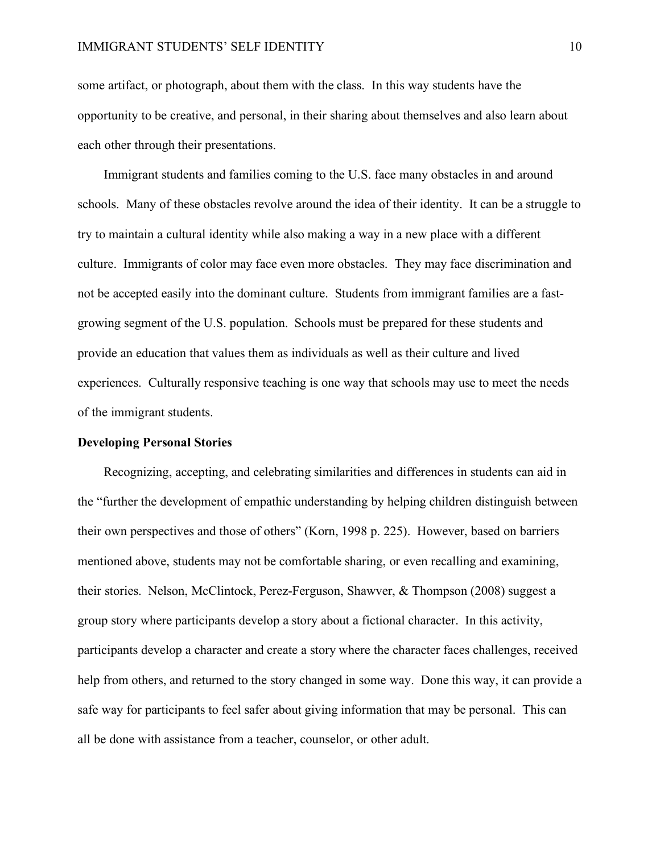#### IMMIGRANT STUDENTS' SELF IDENTITY 10

some artifact, or photograph, about them with the class. In this way students have the opportunity to be creative, and personal, in their sharing about themselves and also learn about each other through their presentations.

 Immigrant students and families coming to the U.S. face many obstacles in and around schools. Many of these obstacles revolve around the idea of their identity. It can be a struggle to try to maintain a cultural identity while also making a way in a new place with a different culture. Immigrants of color may face even more obstacles. They may face discrimination and not be accepted easily into the dominant culture. Students from immigrant families are a fastgrowing segment of the U.S. population. Schools must be prepared for these students and provide an education that values them as individuals as well as their culture and lived experiences. Culturally responsive teaching is one way that schools may use to meet the needs of the immigrant students.

#### **Developing Personal Stories**

 Recognizing, accepting, and celebrating similarities and differences in students can aid in the "further the development of empathic understanding by helping children distinguish between their own perspectives and those of others" (Korn, 1998 p. 225). However, based on barriers mentioned above, students may not be comfortable sharing, or even recalling and examining, their stories. Nelson, McClintock, Perez-Ferguson, Shawver, & Thompson (2008) suggest a group story where participants develop a story about a fictional character. In this activity, participants develop a character and create a story where the character faces challenges, received help from others, and returned to the story changed in some way. Done this way, it can provide a safe way for participants to feel safer about giving information that may be personal. This can all be done with assistance from a teacher, counselor, or other adult.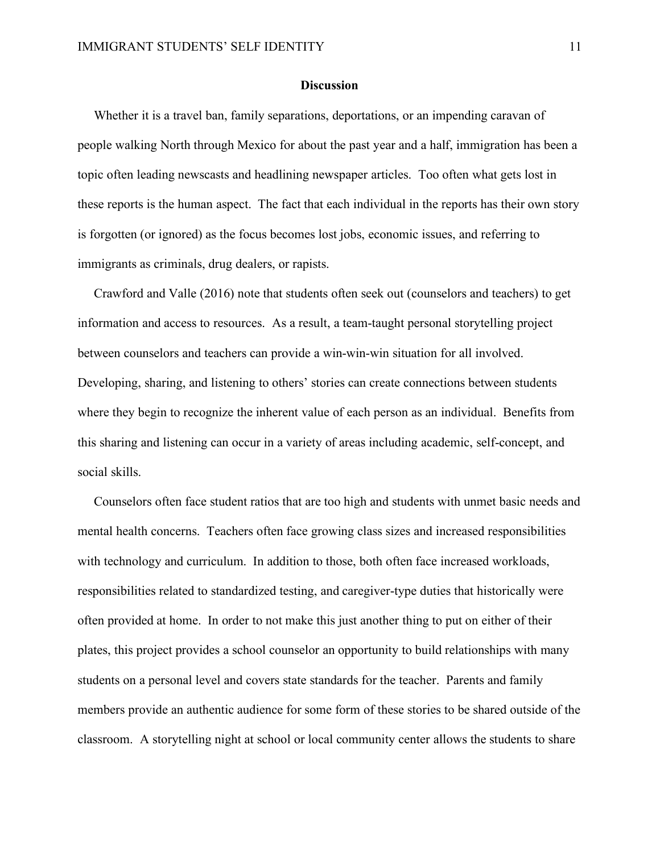#### **Discussion**

Whether it is a travel ban, family separations, deportations, or an impending caravan of people walking North through Mexico for about the past year and a half, immigration has been a topic often leading newscasts and headlining newspaper articles. Too often what gets lost in these reports is the human aspect. The fact that each individual in the reports has their own story is forgotten (or ignored) as the focus becomes lost jobs, economic issues, and referring to immigrants as criminals, drug dealers, or rapists.

 Crawford and Valle (2016) note that students often seek out (counselors and teachers) to get information and access to resources. As a result, a team-taught personal storytelling project between counselors and teachers can provide a win-win-win situation for all involved. Developing, sharing, and listening to others' stories can create connections between students where they begin to recognize the inherent value of each person as an individual. Benefits from this sharing and listening can occur in a variety of areas including academic, self-concept, and social skills.

 Counselors often face student ratios that are too high and students with unmet basic needs and mental health concerns. Teachers often face growing class sizes and increased responsibilities with technology and curriculum. In addition to those, both often face increased workloads, responsibilities related to standardized testing, and caregiver-type duties that historically were often provided at home. In order to not make this just another thing to put on either of their plates, this project provides a school counselor an opportunity to build relationships with many students on a personal level and covers state standards for the teacher. Parents and family members provide an authentic audience for some form of these stories to be shared outside of the classroom. A storytelling night at school or local community center allows the students to share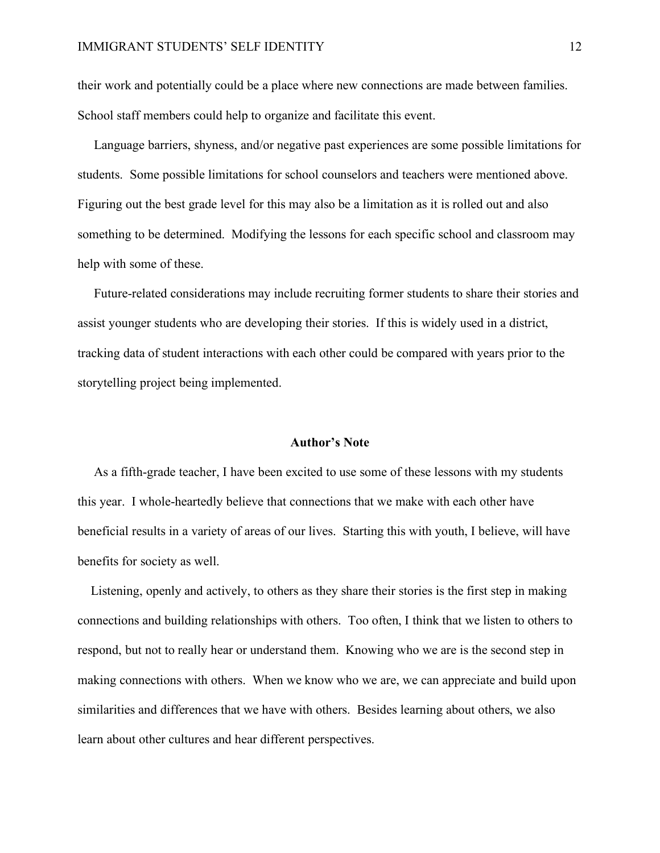their work and potentially could be a place where new connections are made between families. School staff members could help to organize and facilitate this event.

 Language barriers, shyness, and/or negative past experiences are some possible limitations for students. Some possible limitations for school counselors and teachers were mentioned above. Figuring out the best grade level for this may also be a limitation as it is rolled out and also something to be determined. Modifying the lessons for each specific school and classroom may help with some of these.

 Future-related considerations may include recruiting former students to share their stories and assist younger students who are developing their stories. If this is widely used in a district, tracking data of student interactions with each other could be compared with years prior to the storytelling project being implemented.

#### **Author's Note**

 As a fifth-grade teacher, I have been excited to use some of these lessons with my students this year. I whole-heartedly believe that connections that we make with each other have beneficial results in a variety of areas of our lives. Starting this with youth, I believe, will have benefits for society as well.

 Listening, openly and actively, to others as they share their stories is the first step in making connections and building relationships with others. Too often, I think that we listen to others to respond, but not to really hear or understand them. Knowing who we are is the second step in making connections with others. When we know who we are, we can appreciate and build upon similarities and differences that we have with others. Besides learning about others, we also learn about other cultures and hear different perspectives.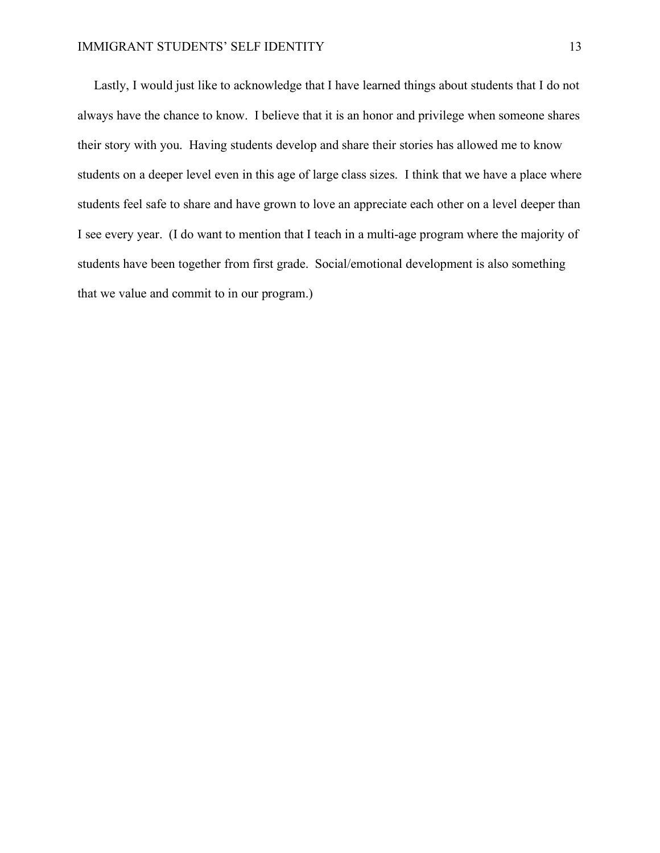Lastly, I would just like to acknowledge that I have learned things about students that I do not always have the chance to know. I believe that it is an honor and privilege when someone shares their story with you. Having students develop and share their stories has allowed me to know students on a deeper level even in this age of large class sizes. I think that we have a place where students feel safe to share and have grown to love an appreciate each other on a level deeper than I see every year. (I do want to mention that I teach in a multi-age program where the majority of students have been together from first grade. Social/emotional development is also something that we value and commit to in our program.)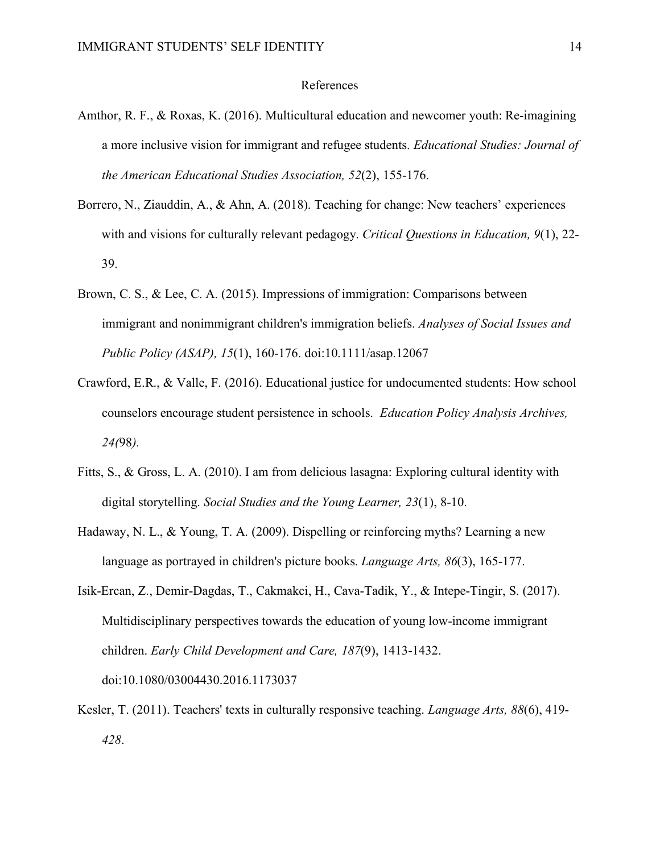#### References

- Amthor, R. F., & Roxas, K. (2016). Multicultural education and newcomer youth: Re-imagining a more inclusive vision for immigrant and refugee students. *Educational Studies: Journal of the American Educational Studies Association, 52*(2), 155-176.
- Borrero, N., Ziauddin, A., & Ahn, A. (2018). Teaching for change: New teachers' experiences with and visions for culturally relevant pedagogy. *Critical Questions in Education, 9*(1), 22- 39.
- Brown, C. S., & Lee, C. A. (2015). Impressions of immigration: Comparisons between immigrant and nonimmigrant children's immigration beliefs. *Analyses of Social Issues and Public Policy (ASAP), 15*(1), 160-176. doi:10.1111/asap.12067
- Crawford, E.R., & Valle, F. (2016). Educational justice for undocumented students: How school counselors encourage student persistence in schools. *Education Policy Analysis Archives, 24(*98*).*
- Fitts, S., & Gross, L. A. (2010). I am from delicious lasagna: Exploring cultural identity with digital storytelling. *Social Studies and the Young Learner, 23*(1), 8-10.
- Hadaway, N. L., & Young, T. A. (2009). Dispelling or reinforcing myths? Learning a new language as portrayed in children's picture books. *Language Arts, 86*(3), 165-177.
- Isik-Ercan, Z., Demir-Dagdas, T., Cakmakci, H., Cava-Tadik, Y., & Intepe-Tingir, S. (2017). Multidisciplinary perspectives towards the education of young low-income immigrant children. *Early Child Development and Care, 187*(9), 1413-1432. doi:10.1080/03004430.2016.1173037
- Kesler, T. (2011). Teachers' texts in culturally responsive teaching. *Language Arts, 88*(6), 419- *428*.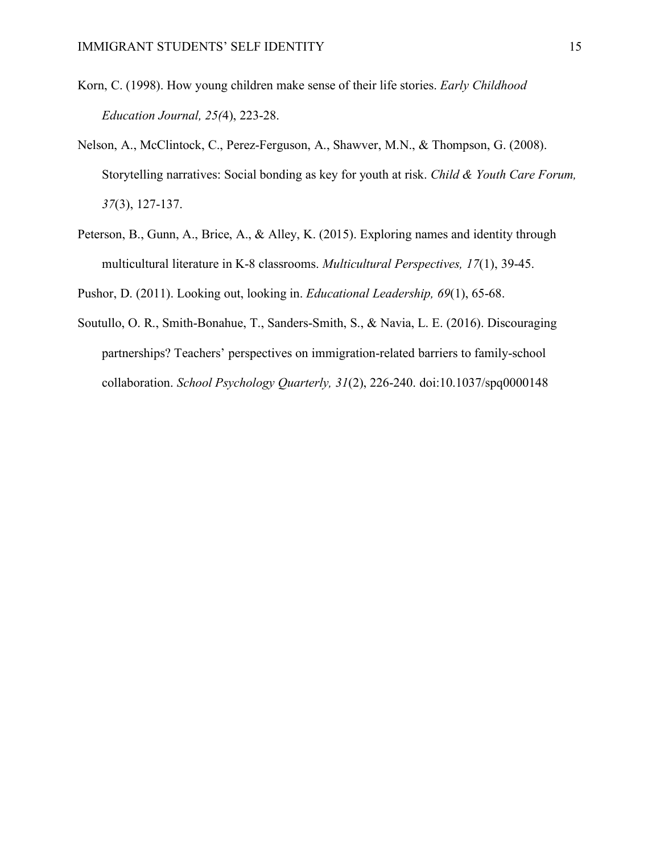- Korn, C. (1998). How young children make sense of their life stories. *Early Childhood Education Journal, 25(*4), 223-28.
- Nelson, A., McClintock, C., Perez-Ferguson, A., Shawver, M.N., & Thompson, G. (2008). Storytelling narratives: Social bonding as key for youth at risk. *Child & Youth Care Forum, 37*(3), 127-137.
- Peterson, B., Gunn, A., Brice, A., & Alley, K. (2015). Exploring names and identity through multicultural literature in K-8 classrooms. *Multicultural Perspectives, 17*(1), 39-45.

Pushor, D. (2011). Looking out, looking in. *Educational Leadership, 69*(1), 65-68.

Soutullo, O. R., Smith-Bonahue, T., Sanders-Smith, S., & Navia, L. E. (2016). Discouraging partnerships? Teachers' perspectives on immigration-related barriers to family-school collaboration. *School Psychology Quarterly, 31*(2), 226-240. doi:10.1037/spq0000148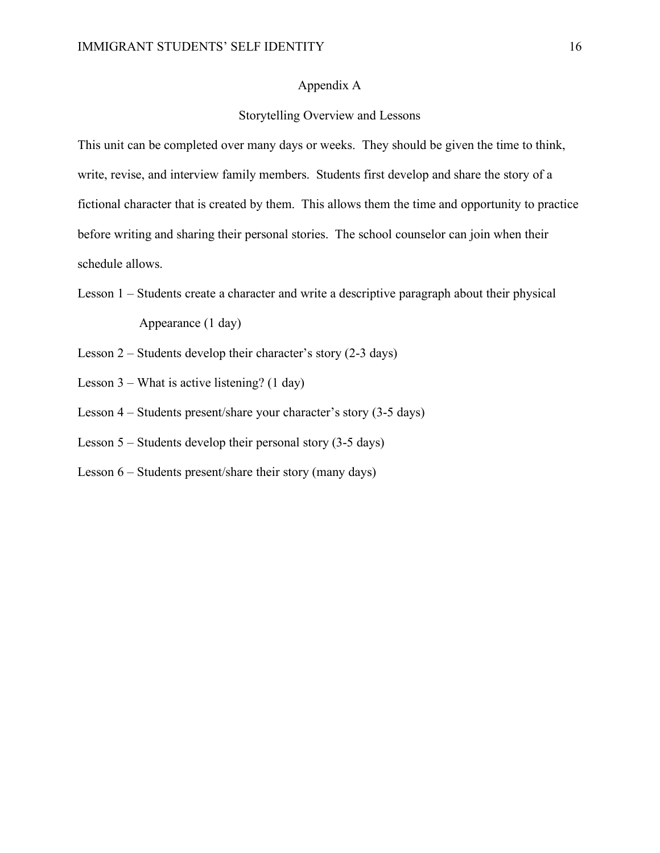#### Appendix A

#### Storytelling Overview and Lessons

This unit can be completed over many days or weeks. They should be given the time to think, write, revise, and interview family members. Students first develop and share the story of a fictional character that is created by them. This allows them the time and opportunity to practice before writing and sharing their personal stories. The school counselor can join when their schedule allows.

- Lesson 1 Students create a character and write a descriptive paragraph about their physical Appearance (1 day)
- Lesson 2 Students develop their character's story (2-3 days)
- Lesson 3 What is active listening? (1 day)
- Lesson 4 Students present/share your character's story (3-5 days)
- Lesson 5 Students develop their personal story (3-5 days)
- Lesson 6 Students present/share their story (many days)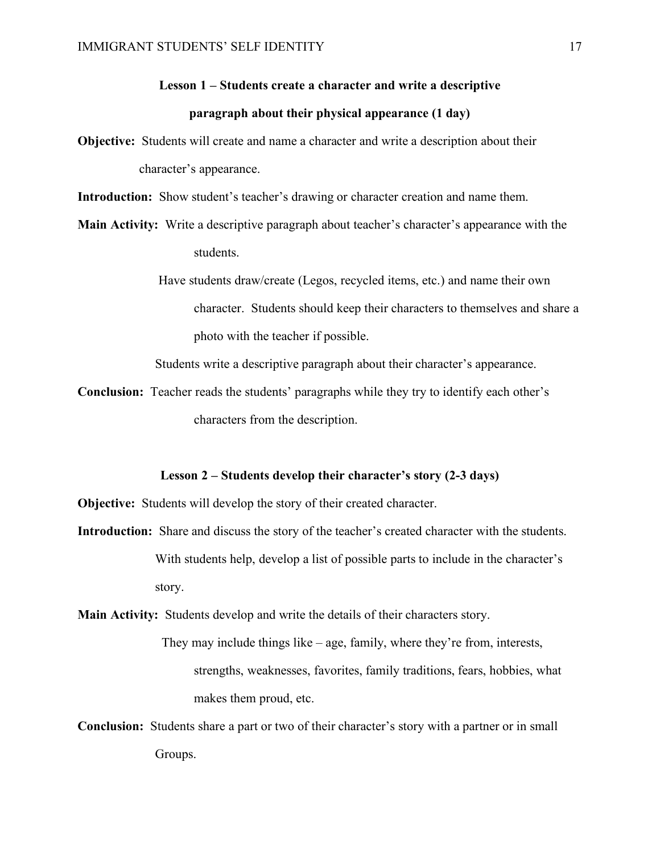# **Lesson 1 – Students create a character and write a descriptive paragraph about their physical appearance (1 day)**

**Objective:** Students will create and name a character and write a description about their character's appearance.

**Introduction:** Show student's teacher's drawing or character creation and name them.

**Main Activity:** Write a descriptive paragraph about teacher's character's appearance with the students.

> Have students draw/create (Legos, recycled items, etc.) and name their own character. Students should keep their characters to themselves and share a photo with the teacher if possible.

Students write a descriptive paragraph about their character's appearance.

**Conclusion:** Teacher reads the students' paragraphs while they try to identify each other's characters from the description.

#### **Lesson 2 – Students develop their character's story (2-3 days)**

**Objective:** Students will develop the story of their created character.

**Introduction:** Share and discuss the story of the teacher's created character with the students. With students help, develop a list of possible parts to include in the character's story.

**Main Activity:** Students develop and write the details of their characters story.

They may include things like – age, family, where they're from, interests, strengths, weaknesses, favorites, family traditions, fears, hobbies, what makes them proud, etc.

**Conclusion:** Students share a part or two of their character's story with a partner or in small Groups.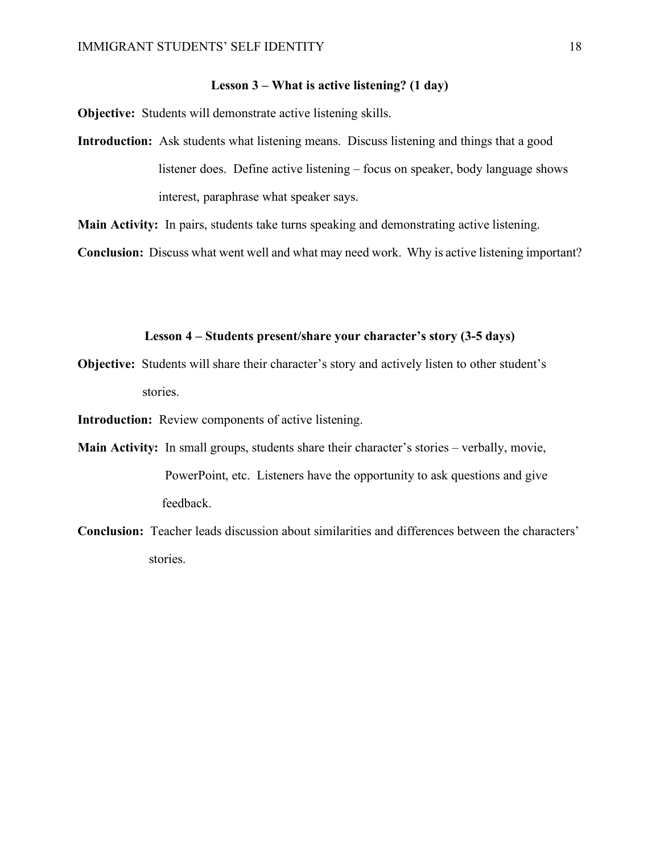#### **Lesson 3 – What is active listening? (1 day)**

**Objective:** Students will demonstrate active listening skills.

**Introduction:** Ask students what listening means. Discuss listening and things that a good listener does. Define active listening – focus on speaker, body language shows interest, paraphrase what speaker says.

**Main Activity:** In pairs, students take turns speaking and demonstrating active listening.

**Conclusion:** Discuss what went well and what may need work. Why is active listening important?

#### **Lesson 4 – Students present/share your character's story (3-5 days)**

**Objective:** Students will share their character's story and actively listen to other student's stories.

**Introduction:** Review components of active listening.

- **Main Activity:** In small groups, students share their character's stories verbally, movie, PowerPoint, etc. Listeners have the opportunity to ask questions and give feedback.
- **Conclusion:** Teacher leads discussion about similarities and differences between the characters' stories.